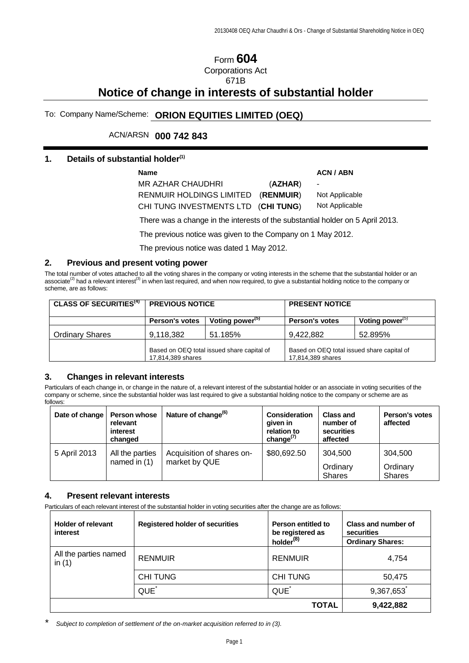# Form **604** Corporations Act 671B

# **Notice of change in interests of substantial holder**

# To: Company Name/Scheme: **ORION EQUITIES LIMITED (OEQ)**

# ACN/ARSN **000 742 843**

#### **1. Details of substantial holder(1)**

#### **Name ACN** / ABN **ACN** / ABN

Not Applicable Not Applicable

-

MR AZHAR CHAUDHRI (**AZHAR**) RENMUIR HOLDINGS LIMITED (**RENMUIR**) CHI TUNG INVESTMENTS LTD (**CHI TUNG**)

There was a change in the interests of the substantial holder on 5 April 2013.

The previous notice was given to the Company on 1 May 2012.

The previous notice was dated 1 May 2012.

#### **2. Previous and present voting power**

The total number of votes attached to all the voting shares in the company or voting interests in the scheme that the substantial holder or an associate<sup>(2)</sup> had a relevant interest<sup>(3)</sup> in when last required, and when now required, to give a substantial holding notice to the company or scheme, are as follows:

| <b>CLASS OF SECURITIES<sup>(4)</sup></b> | <b>PREVIOUS NOTICE</b>                                          |                             | <b>PRESENT NOTICE</b>                                           |                    |
|------------------------------------------|-----------------------------------------------------------------|-----------------------------|-----------------------------------------------------------------|--------------------|
|                                          | <b>Person's votes</b>                                           | Voting power <sup>(5)</sup> | <b>Person's votes</b>                                           | Voting power $(5)$ |
| <b>Ordinary Shares</b>                   | 9,118,382                                                       | 51.185%                     | 9,422,882                                                       | 52.895%            |
|                                          | Based on OEQ total issued share capital of<br>17,814,389 shares |                             | Based on OEQ total issued share capital of<br>17,814,389 shares |                    |

#### **3. Changes in relevant interests**

Particulars of each change in, or change in the nature of, a relevant interest of the substantial holder or an associate in voting securities of the company or scheme, since the substantial holder was last required to give a substantial holding notice to the company or scheme are as follows:

| Date of change | <b>Person whose</b><br>relevant<br>interest<br>changed | Nature of change $^{(6)}$ | <b>Consideration</b><br>given in<br>relation to<br>change $^{(7)}$ | <b>Class and</b><br>number of<br>securities<br>affected | Person's votes<br>affected |
|----------------|--------------------------------------------------------|---------------------------|--------------------------------------------------------------------|---------------------------------------------------------|----------------------------|
| 5 April 2013   | All the parties                                        | Acquisition of shares on- | \$80,692.50                                                        | 304.500                                                 | 304,500                    |
|                | named in $(1)$<br>market by QUE                        |                           | Ordinary<br><b>Shares</b>                                          | Ordinary<br><b>Shares</b>                               |                            |

#### **4. Present relevant interests**

Particulars of each relevant interest of the substantial holder in voting securities after the change are as follows:

| <b>Holder of relevant</b><br>interest | <b>Registered holder of securities</b> | Person entitled to<br>be registered as | Class and number of<br>securities |
|---------------------------------------|----------------------------------------|----------------------------------------|-----------------------------------|
|                                       |                                        | holder $^{(8)}$                        | <b>Ordinary Shares:</b>           |
| All the parties named<br>in $(1)$     | <b>RENMUIR</b>                         | <b>RENMUIR</b>                         | 4,754                             |
|                                       | <b>CHI TUNG</b>                        | <b>CHI TUNG</b>                        | 50,475                            |
|                                       | QUE <sup>*</sup>                       | QUE <sup>*</sup>                       | 9,367,653                         |
|                                       |                                        | <b>TOTAL</b>                           | 9,422,882                         |

*\* Subject to completion of settlement of the on-market acquisition referred to in (3).*